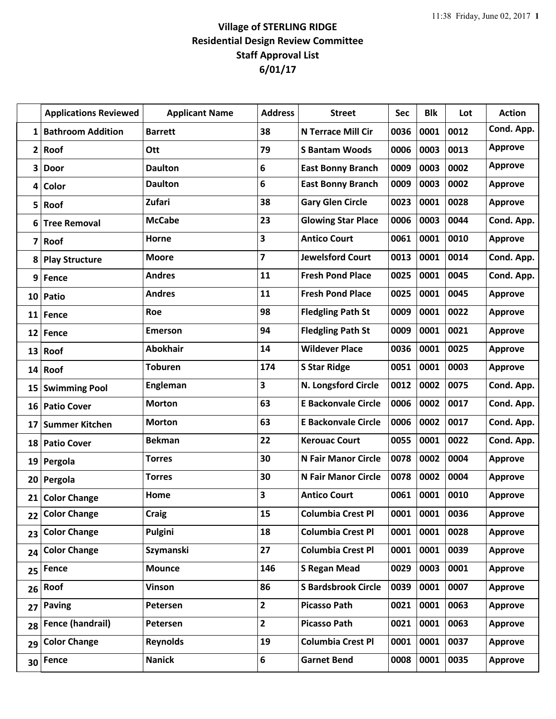## **Village of STERLING RIDGE Residential Design Review Committee Staff Approval List 6/01/17**

|                         | <b>Applications Reviewed</b> | <b>Applicant Name</b> | <b>Address</b>          | <b>Street</b>              | <b>Sec</b> | <b>Blk</b> | Lot  | <b>Action</b>  |
|-------------------------|------------------------------|-----------------------|-------------------------|----------------------------|------------|------------|------|----------------|
| 1                       | <b>Bathroom Addition</b>     | <b>Barrett</b>        | 38                      | <b>N Terrace Mill Cir</b>  | 0036       | 0001       | 0012 | Cond. App.     |
| $\overline{2}$          | Roof                         | Ott                   | 79                      | <b>S Bantam Woods</b>      | 0006       | 0003       | 0013 | <b>Approve</b> |
| 3                       | <b>Door</b>                  | <b>Daulton</b>        | 6                       | <b>East Bonny Branch</b>   | 0009       | 0003       | 0002 | <b>Approve</b> |
| 4                       | Color                        | <b>Daulton</b>        | 6                       | <b>East Bonny Branch</b>   | 0009       | 0003       | 0002 | <b>Approve</b> |
| 5                       | Roof                         | Zufari                | 38                      | <b>Gary Glen Circle</b>    | 0023       | 0001       | 0028 | <b>Approve</b> |
| 6                       | <b>Tree Removal</b>          | <b>McCabe</b>         | 23                      | <b>Glowing Star Place</b>  | 0006       | 0003       | 0044 | Cond. App.     |
| $\overline{\mathbf{z}}$ | Roof                         | Horne                 | 3                       | <b>Antico Court</b>        | 0061       | 0001       | 0010 | <b>Approve</b> |
| 8                       | <b>Play Structure</b>        | <b>Moore</b>          | $\overline{\mathbf{z}}$ | <b>Jewelsford Court</b>    | 0013       | 0001       | 0014 | Cond. App.     |
| 9                       | Fence                        | <b>Andres</b>         | 11                      | <b>Fresh Pond Place</b>    | 0025       | 0001       | 0045 | Cond. App.     |
| 10 <sup>1</sup>         | Patio                        | <b>Andres</b>         | 11                      | <b>Fresh Pond Place</b>    | 0025       | 0001       | 0045 | <b>Approve</b> |
| 11                      | Fence                        | Roe                   | 98                      | <b>Fledgling Path St</b>   | 0009       | 0001       | 0022 | <b>Approve</b> |
| 12                      | Fence                        | <b>Emerson</b>        | 94                      | <b>Fledgling Path St</b>   | 0009       | 0001       | 0021 | <b>Approve</b> |
| 13                      | Roof                         | <b>Abokhair</b>       | 14                      | <b>Wildever Place</b>      | 0036       | 0001       | 0025 | <b>Approve</b> |
|                         | $14$ Roof                    | <b>Toburen</b>        | 174                     | <b>S Star Ridge</b>        | 0051       | 0001       | 0003 | <b>Approve</b> |
| 15                      | <b>Swimming Pool</b>         | Engleman              | $\overline{\mathbf{3}}$ | N. Longsford Circle        | 0012       | 0002       | 0075 | Cond. App.     |
| 16                      | <b>Patio Cover</b>           | <b>Morton</b>         | 63                      | <b>E Backonvale Circle</b> | 0006       | 0002       | 0017 | Cond. App.     |
| 17                      | <b>Summer Kitchen</b>        | <b>Morton</b>         | 63                      | <b>E Backonvale Circle</b> | 0006       | 0002       | 0017 | Cond. App.     |
| 18                      | <b>Patio Cover</b>           | <b>Bekman</b>         | 22                      | <b>Kerouac Court</b>       | 0055       | 0001       | 0022 | Cond. App.     |
| 19                      | Pergola                      | <b>Torres</b>         | 30                      | <b>N Fair Manor Circle</b> | 0078       | 0002       | 0004 | <b>Approve</b> |
| 20 <sub>1</sub>         | Pergola                      | <b>Torres</b>         | 30                      | <b>N Fair Manor Circle</b> | 0078       | 0002       | 0004 | <b>Approve</b> |
| 21                      | <b>Color Change</b>          | Home                  | 3                       | <b>Antico Court</b>        | 0061       | 0001       | 0010 | <b>Approve</b> |
| 22                      | <b>Color Change</b>          | <b>Craig</b>          | 15                      | <b>Columbia Crest Pl</b>   | 0001       | 0001       | 0036 | <b>Approve</b> |
| 23                      | <b>Color Change</b>          | Pulgini               | 18                      | <b>Columbia Crest Pl</b>   | 0001       | 0001       | 0028 | <b>Approve</b> |
| 24                      | <b>Color Change</b>          | Szymanski             | 27                      | <b>Columbia Crest Pl</b>   | 0001       | 0001       | 0039 | <b>Approve</b> |
| 25                      | Fence                        | <b>Mounce</b>         | 146                     | <b>S Regan Mead</b>        | 0029       | 0003       | 0001 | <b>Approve</b> |
| 26                      | Roof                         | <b>Vinson</b>         | 86                      | <b>S Bardsbrook Circle</b> | 0039       | 0001       | 0007 | <b>Approve</b> |
| 27                      | <b>Paving</b>                | Petersen              | $\mathbf{2}$            | <b>Picasso Path</b>        | 0021       | 0001       | 0063 | <b>Approve</b> |
| 28                      | Fence (handrail)             | Petersen              | $\overline{2}$          | <b>Picasso Path</b>        | 0021       | 0001       | 0063 | <b>Approve</b> |
| 29                      | <b>Color Change</b>          | <b>Reynolds</b>       | 19                      | <b>Columbia Crest Pl</b>   | 0001       | 0001       | 0037 | <b>Approve</b> |
| 30                      | <b>Fence</b>                 | <b>Nanick</b>         | 6                       | <b>Garnet Bend</b>         | 0008       | 0001       | 0035 | <b>Approve</b> |